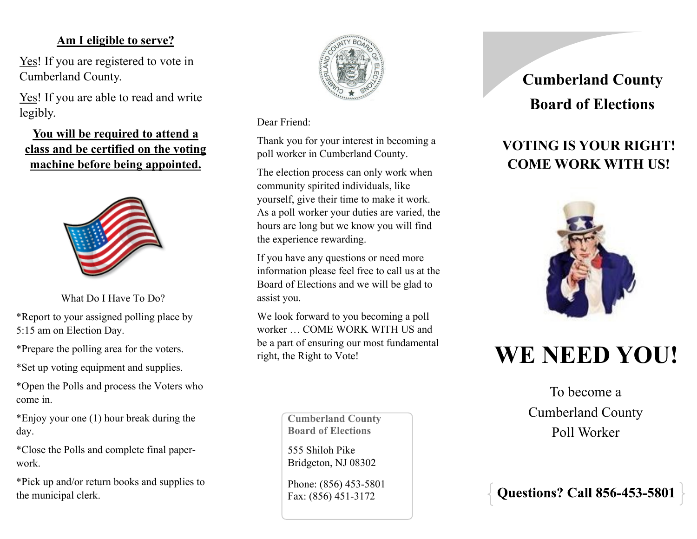### **Am I eligible to serve?**

Yes! If you are registered to vote in Cumberland County.

Yes! If you are able to read and write legibly.

**You will be required to attend a class and be certified on the voting machine before being appointed.**



What Do I Have To Do?

\*Report to your assigned polling place by 5:15 am on Election Day.

\*Prepare the polling area for the voters.

\*Set up voting equipment and supplies.

\*Open the Polls and process the Voters who come in.

\*Enjoy your one (1) hour break during the day.

\*Close the Polls and complete final paperwork.

\*Pick up and/or return books and supplies to the municipal clerk.



Dear Friend:

Thank you for your interest in becoming a poll worker in Cumberland County.

The election process can only work when community spirited individuals, like yourself, give their time to make it work. As a poll worker your duties are varied, the hours are long but we know you will find the experience rewarding.

If you have any questions or need more information please feel free to call us at the Board of Elections and we will be glad to assist you.

We look forward to you becoming a poll worker … COME WORK WITH US and be a part of ensuring our most fundamental right, the Right to Vote!

> **Cumberland County Board of Elections**

555 Shiloh Pike Bridgeton, NJ 08302

Phone: (856) 453-5801 Fax: (856) 451-3172

## **Board of Elections Cumberland County**

## **VOTING IS YOUR RIGHT! COME WORK WITH US!**



# **WE NEED YOU!**

To become a Cumberland County Poll Worker

**Questions? Call 856-453-580**